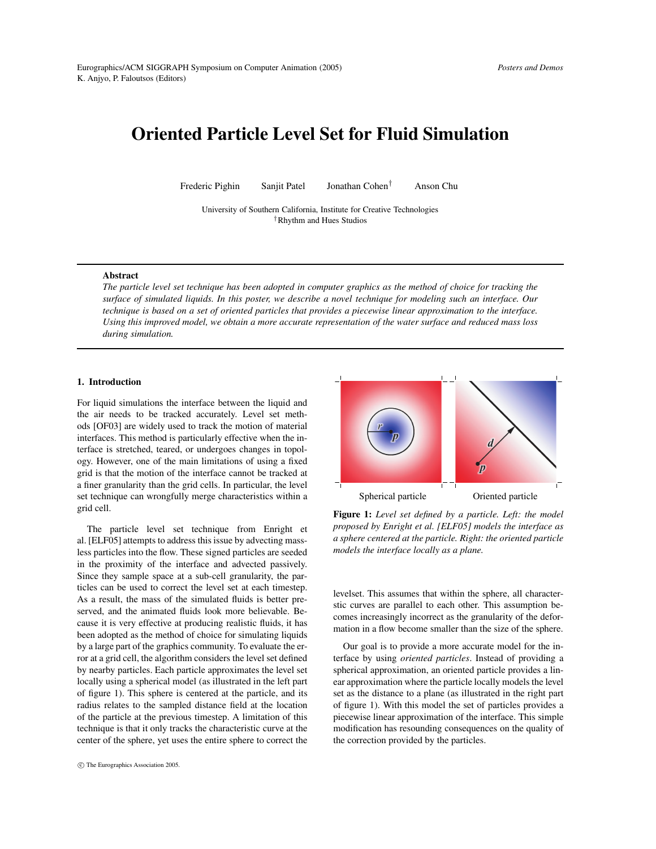# **Oriented Particle Level Set for Fluid Simulation**

Frederic Pighin Sanjit Patel Jonathan Cohen† Anson Chu

University of Southern California, Institute for Creative Technologies †Rhythm and Hues Studios

#### **Abstract**

The particle level set technique has been adopted in computer graphics as the method of choice for tracking the surface of simulated liquids. In this poster, we describe a novel technique for modeling such an interface. Our technique is based on a set of oriented particles that provides a piecewise linear approximation to the interface. Using this improved model, we obtain a more accurate representation of the water surface and reduced mass loss *during simulation.*

## **1. Introduction**

For liquid simulations the interface between the liquid and the air needs to be tracked accurately. Level set methods [\[OF03\]](#page-1-0) are widely used to track the motion of material interfaces. This method is particularly effective when the interface is stretched, teared, or undergoes changes in topology. However, one of the main limitations of using a fixed grid is that the motion of the interface cannot be tracked at a finer granularity than the grid cells. In particular, the level set technique can wrongfully merge characteristics within a grid cell.

The particle level set technique from Enright et al. [\[ELF05\]](#page-1-1) attempts to address this issue by advecting massless particles into the flow. These signed particles are seeded in the proximity of the interface and advected passively. Since they sample space at a sub-cell granularity, the particles can be used to correct the level set at each timestep. As a result, the mass of the simulated fluids is better preserved, and the animated fluids look more believable. Because it is very effective at producing realistic fluids, it has been adopted as the method of choice for simulating liquids by a large part of the graphics community. To evaluate the error at a grid cell, the algorithm considers the level set defined by nearby particles. Each particle approximates the level set locally using a spherical model (as illustrated in the left part of figure [1\)](#page-0-0). This sphere is centered at the particle, and its radius relates to the sampled distance field at the location of the particle at the previous timestep. A limitation of this technique is that it only tracks the characteristic curve at the center of the sphere, yet uses the entire sphere to correct the



<span id="page-0-0"></span>**Figure 1:** *Level set defined by a particle. Left: the model proposed by Enright et al. [\[ELF05\]](#page-1-1) models the interface as a sphere centered at the particle. Right: the oriented particle models the interface locally as a plane.*

levelset. This assumes that within the sphere, all characterstic curves are parallel to each other. This assumption becomes increasingly incorrect as the granularity of the deformation in a flow become smaller than the size of the sphere.

Our goal is to provide a more accurate model for the interface by using *oriented particles*. Instead of providing a spherical approximation, an oriented particle provides a linear approximation where the particle locally models the level set as the distance to a plane (as illustrated in the right part of figure [1\)](#page-0-0). With this model the set of particles provides a piecewise linear approximation of the interface. This simple modification has resounding consequences on the quality of the correction provided by the particles.